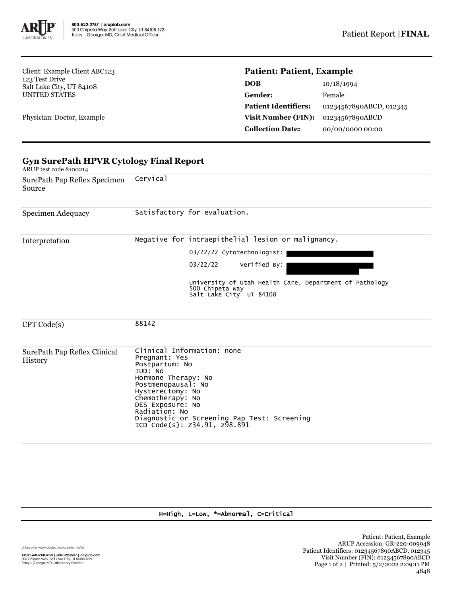

Client: Example Client ABC123 123 Test Drive Salt Lake City, UT 84108 UNITED STATES

Physician: Doctor, Example

## **Patient: Patient, Example**

| <b>DOB</b>                  | 10/18/1994              |
|-----------------------------|-------------------------|
| Gender:                     | Female                  |
| <b>Patient Identifiers:</b> | 01234567890ABCD, 012345 |
| <b>Visit Number (FIN):</b>  | 01234567890ABCD         |
| <b>Collection Date:</b>     | 00/00/0000 00:00        |

| <b>Gyn SurePath HPVR Cytology Final Report</b><br>ARUP test code 8100214 |                                                                                                                                                                                                                                                                                   |  |  |  |  |
|--------------------------------------------------------------------------|-----------------------------------------------------------------------------------------------------------------------------------------------------------------------------------------------------------------------------------------------------------------------------------|--|--|--|--|
| SurePath Pap Reflex Specimen<br>Source                                   | Cervical                                                                                                                                                                                                                                                                          |  |  |  |  |
| Specimen Adequacy                                                        | Satisfactory for evaluation.                                                                                                                                                                                                                                                      |  |  |  |  |
| Interpretation                                                           | Negative for intraepithelial lesion or malignancy.<br>03/22/22 Cytotechnologist:<br>03/22/22<br>Verified By:<br>University of Utah Health Care, Department of Pathology<br>500 Chipeta Way<br>Salt Lake City UT 84108                                                             |  |  |  |  |
| CPT Code(s)                                                              | 88142                                                                                                                                                                                                                                                                             |  |  |  |  |
| SurePath Pap Reflex Clinical<br>History                                  | Clinical Information: none<br>Pregnant: Yes<br>Postpartum: No<br>IUD: NO<br>Hormone Therapy: No<br>Postmenopausal: No<br>Hysterectomy: No<br>Chemotherapy: No<br>DES Exposure: No<br>Radiation: No<br>Diagnostic or Screening Pap Test: Screening<br>ICD Code(s): Z34.91, z98.891 |  |  |  |  |

## H=High, L=Low, \*=Abnormal, C=Critical

Unless otherwise indicated, testing performed at:

**ARUP LABORATORIES | 800-522-2787 | aruplab.com**<br>500 Chipeta Way, Salt Lake City, UT 84108-1221<br>Tracy I. George, MD, Laboratory Director